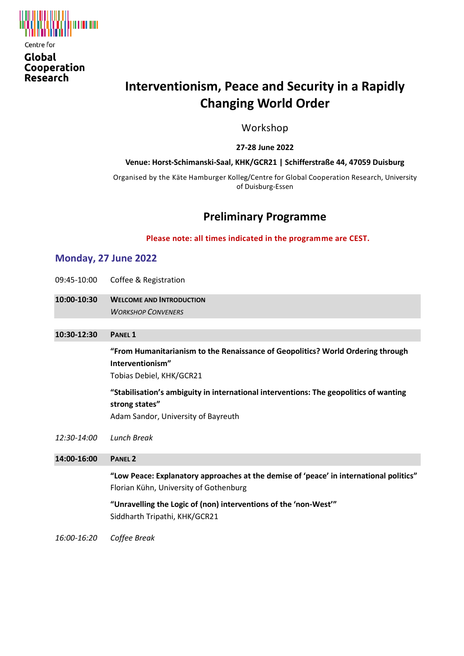

Global Cooperation Research

# **Interventionism, Peace and Security in a Rapidly Changing World Order**

Workshop

**27-28 June 2022**

#### **Venue: Horst-Schimanski-Saal, KHK/GCR21 | Schifferstraße 44, 47059 Duisburg**

Organised by the Käte Hamburger Kolleg/Centre for Global Cooperation Research, University of Duisburg-Essen

# **Preliminary Programme**

**Please note: all times indicated in the programme are CEST.**

# **Monday, 27 June 2022**

- 09:45-10:00 Coffee & Registration
- **10:00-10:30 WELCOME AND INTRODUCTION** *WORKSHOP CONVENERS*

**10:30-12:30 PANEL 1**

**"From Humanitarianism to the Renaissance of Geopolitics? World Ordering through Interventionism"**

Tobias Debiel, KHK/GCR21

**"Stabilisation's ambiguity in international interventions: The geopolitics of wanting strong states"**

Adam Sandor, University of Bayreuth

*12:30-14:00 Lunch Break*

**14:00-16:00 PANEL 2 "Low Peace: Explanatory approaches at the demise of 'peace' in international politics"** Florian Kühn, University of Gothenburg **"Unravelling the Logic of (non) interventions of the 'non-West'"** Siddharth Tripathi, KHK/GCR21 *16:00-16:20 Coffee Break*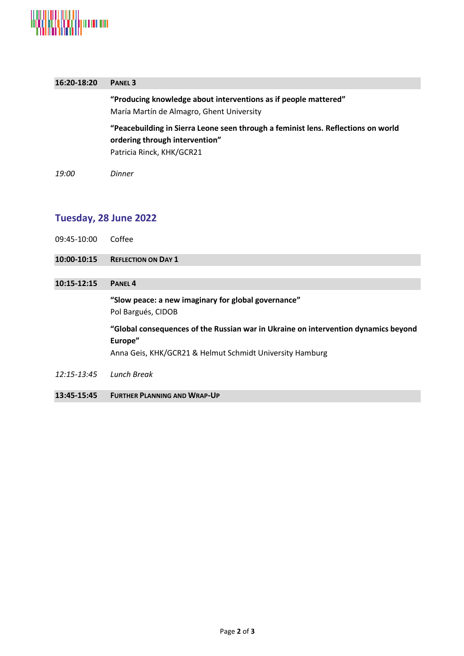

| 16:20-18:20           | <b>PANEL 3</b>                                                                                                                                            |
|-----------------------|-----------------------------------------------------------------------------------------------------------------------------------------------------------|
|                       | "Producing knowledge about interventions as if people mattered"<br>María Martín de Almagro, Ghent University                                              |
|                       | "Peacebuilding in Sierra Leone seen through a feminist lens. Reflections on world<br>ordering through intervention"<br>Patricia Rinck, KHK/GCR21          |
| 19:00                 | <b>Dinner</b>                                                                                                                                             |
|                       |                                                                                                                                                           |
| Tuesday, 28 June 2022 |                                                                                                                                                           |
| 09:45-10:00           | Coffee                                                                                                                                                    |
| 10:00-10:15           | <b>REFLECTION ON DAY 1</b>                                                                                                                                |
| 10:15-12:15           | PANEL <sub>4</sub>                                                                                                                                        |
|                       | "Slow peace: a new imaginary for global governance"<br>Pol Bargués, CIDOB                                                                                 |
|                       | "Global consequences of the Russian war in Ukraine on intervention dynamics beyond<br>Europe"<br>Anna Geis, KHK/GCR21 & Helmut Schmidt University Hamburg |
| 12:15-13:45           | <b>Lunch Break</b>                                                                                                                                        |
| 13:45-15:45           | <b>FURTHER PLANNING AND WRAP-UP</b>                                                                                                                       |